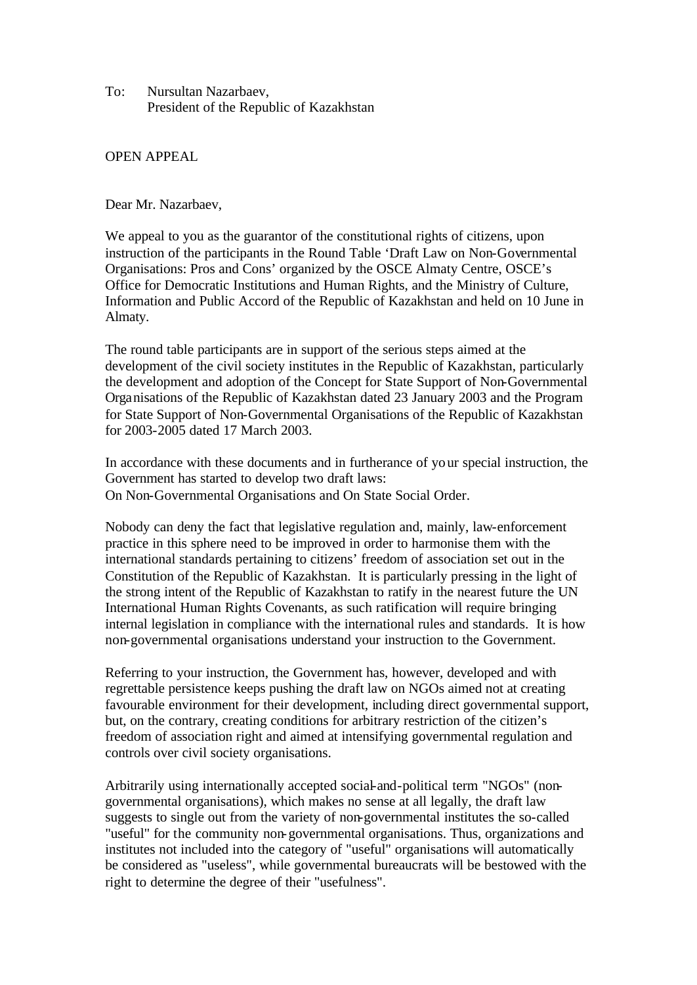To: Nursultan Nazarbaev, President of the Republic of Kazakhstan

## OPEN APPEAL

Dear Mr. Nazarbaev,

We appeal to you as the guarantor of the constitutional rights of citizens, upon instruction of the participants in the Round Table 'Draft Law on Non-Governmental Organisations: Pros and Cons' organized by the OSCE Almaty Centre, OSCE's Office for Democratic Institutions and Human Rights, and the Ministry of Culture, Information and Public Accord of the Republic of Kazakhstan and held on 10 June in Almaty.

The round table participants are in support of the serious steps aimed at the development of the civil society institutes in the Republic of Kazakhstan, particularly the development and adoption of the Concept for State Support of Non-Governmental Organisations of the Republic of Kazakhstan dated 23 January 2003 and the Program for State Support of Non-Governmental Organisations of the Republic of Kazakhstan for 2003-2005 dated 17 March 2003.

In accordance with these documents and in furtherance of your special instruction, the Government has started to develop two draft laws: On Non-Governmental Organisations and On State Social Order.

Nobody can deny the fact that legislative regulation and, mainly, law-enforcement practice in this sphere need to be improved in order to harmonise them with the international standards pertaining to citizens' freedom of association set out in the Constitution of the Republic of Kazakhstan. It is particularly pressing in the light of the strong intent of the Republic of Kazakhstan to ratify in the nearest future the UN International Human Rights Covenants, as such ratification will require bringing internal legislation in compliance with the international rules and standards. It is how non-governmental organisations understand your instruction to the Government.

Referring to your instruction, the Government has, however, developed and with regrettable persistence keeps pushing the draft law on NGOs aimed not at creating favourable environment for their development, including direct governmental support, but, on the contrary, creating conditions for arbitrary restriction of the citizen's freedom of association right and aimed at intensifying governmental regulation and controls over civil society organisations.

Arbitrarily using internationally accepted social-and-political term "NGOs" (nongovernmental organisations), which makes no sense at all legally, the draft law suggests to single out from the variety of non-governmental institutes the so-called "useful" for the community non-governmental organisations. Thus, organizations and institutes not included into the category of "useful" organisations will automatically be considered as "useless", while governmental bureaucrats will be bestowed with the right to determine the degree of their "usefulness".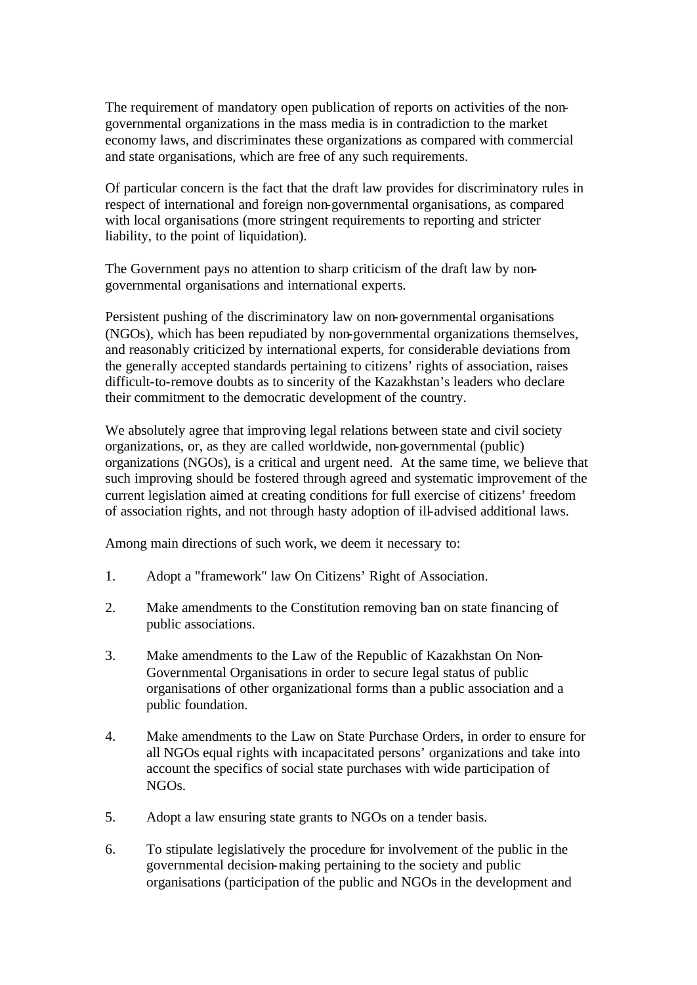The requirement of mandatory open publication of reports on activities of the nongovernmental organizations in the mass media is in contradiction to the market economy laws, and discriminates these organizations as compared with commercial and state organisations, which are free of any such requirements.

Of particular concern is the fact that the draft law provides for discriminatory rules in respect of international and foreign non-governmental organisations, as compared with local organisations (more stringent requirements to reporting and stricter liability, to the point of liquidation).

The Government pays no attention to sharp criticism of the draft law by nongovernmental organisations and international experts.

Persistent pushing of the discriminatory law on non-governmental organisations (NGOs), which has been repudiated by non-governmental organizations themselves, and reasonably criticized by international experts, for considerable deviations from the generally accepted standards pertaining to citizens' rights of association, raises difficult-to-remove doubts as to sincerity of the Kazakhstan's leaders who declare their commitment to the democratic development of the country.

We absolutely agree that improving legal relations between state and civil society organizations, or, as they are called worldwide, non-governmental (public) organizations (NGOs), is a critical and urgent need. At the same time, we believe that such improving should be fostered through agreed and systematic improvement of the current legislation aimed at creating conditions for full exercise of citizens' freedom of association rights, and not through hasty adoption of ill-advised additional laws.

Among main directions of such work, we deem it necessary to:

- 1. Adopt a "framework" law On Citizens' Right of Association.
- 2. Make amendments to the Constitution removing ban on state financing of public associations.
- 3. Make amendments to the Law of the Republic of Kazakhstan On Non-Governmental Organisations in order to secure legal status of public organisations of other organizational forms than a public association and a public foundation.
- 4. Make amendments to the Law on State Purchase Orders, in order to ensure for all NGOs equal rights with incapacitated persons' organizations and take into account the specifics of social state purchases with wide participation of NGOs.
- 5. Adopt a law ensuring state grants to NGOs on a tender basis.
- 6. To stipulate legislatively the procedure for involvement of the public in the governmental decision-making pertaining to the society and public organisations (participation of the public and NGOs in the development and